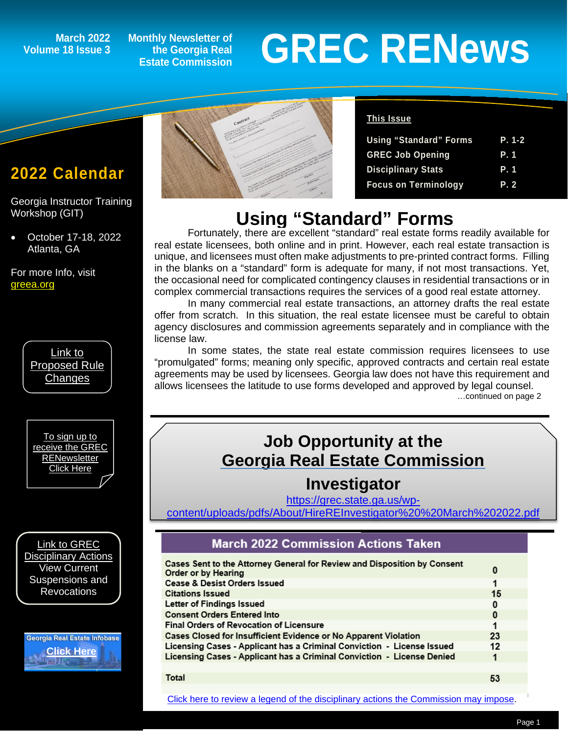# **Volume 18 Issue 3**

**Monthly Newsletter of the Georgia Real Estate Commission**

# March 2022 Monthly Newsletter of<br>Estate Commission<br>
Estate Commission

## **2022 Calendar**

*1*

Georgia Instructor Training Workshop (GIT)

• October 17-18, 2022 Atlanta, GA

For more Info, visit [greea.org](http://www.annualschoolmeeting.com/grecgit/welcome/)



[To sign up to](https://grec.state.ga.us/newsletters/)  [receive the GREC](https://grec.state.ga.us/newsletters/)  **RENewsletter** [Click Here](https://grec.state.ga.us/newsletters/)

[Link to GREC](https://grec.state.ga.us/information-research/disciplinary-actions/real-estate/)  [Disciplinary Actions](https://grec.state.ga.us/information-research/disciplinary-actions/real-estate/) View Current Suspensions and **Revocations** 

Georgia Real Estate Infobase **[Click Here](https://www.grec.state.ga.us/infobase/infobase.html)**



#### **This Issue**

| <b>Using "Standard" Forms</b> | P. 1-2      |
|-------------------------------|-------------|
| <b>GREC Job Opening</b>       | P. 1        |
| <b>Disciplinary Stats</b>     | <b>P.</b> 1 |
| <b>Focus on Terminology</b>   | P. 2        |

# **Using "Standard" Forms**

Fortunately, there are excellent "standard" real estate forms readily available for real estate licensees, both online and in print. However, each real estate transaction is unique, and licensees must often make adjustments to pre-printed contract forms. Filling in the blanks on a "standard" form is adequate for many, if not most transactions. Yet, the occasional need for complicated contingency clauses in residential transactions or in complex commercial transactions requires the services of a good real estate attorney.

In many commercial real estate transactions, an attorney drafts the real estate offer from scratch. In this situation, the real estate licensee must be careful to obtain agency disclosures and commission agreements separately and in compliance with the license law.

In some states, the state real estate commission requires licensees to use "promulgated" forms; meaning only specific, approved contracts and certain real estate agreements may be used by licensees. Georgia law does not have this requirement and allows licensees the latitude to use forms developed and approved by legal counsel.<br>continued on page 2...

## **Job Opportunity at the Georgia Real Estate Commission**

#### **Investigator**

[https://grec.state.ga.us/wp-](https://grec.state.ga.us/wp-content/uploads/pdfs/About/HireREInvestigator%20%20March%202022.pdf)

[content/uploads/pdfs/About/HireREInvestigator%20%20March%202022.pdf](https://grec.state.ga.us/wp-content/uploads/pdfs/About/HireREInvestigator%20%20March%202022.pdf)

#### **March 2022 Commission Actions Taken**

| Cases Sent to the Attorney General for Review and Disposition by Consent<br>Order or by Hearing | 0  |
|-------------------------------------------------------------------------------------------------|----|
| <b>Cease &amp; Desist Orders Issued</b>                                                         | 1  |
| <b>Citations Issued</b>                                                                         | 15 |
| Letter of Findings Issued                                                                       | 0  |
| <b>Consent Orders Entered Into</b>                                                              | 0  |
| <b>Final Orders of Revocation of Licensure</b>                                                  | 1  |
| Cases Closed for Insufficient Evidence or No Apparent Violation                                 | 23 |
| Licensing Cases - Applicant has a Criminal Conviction - License Issued                          | 12 |
| Licensing Cases - Applicant has a Criminal Conviction - License Denied                          |    |
|                                                                                                 |    |
| Total                                                                                           | 53 |

[Click here to review a legend of the disciplinary actions the Commission may impose.](https://www.jmre.com/grec/GRECDisciplinaryTools.pdf)